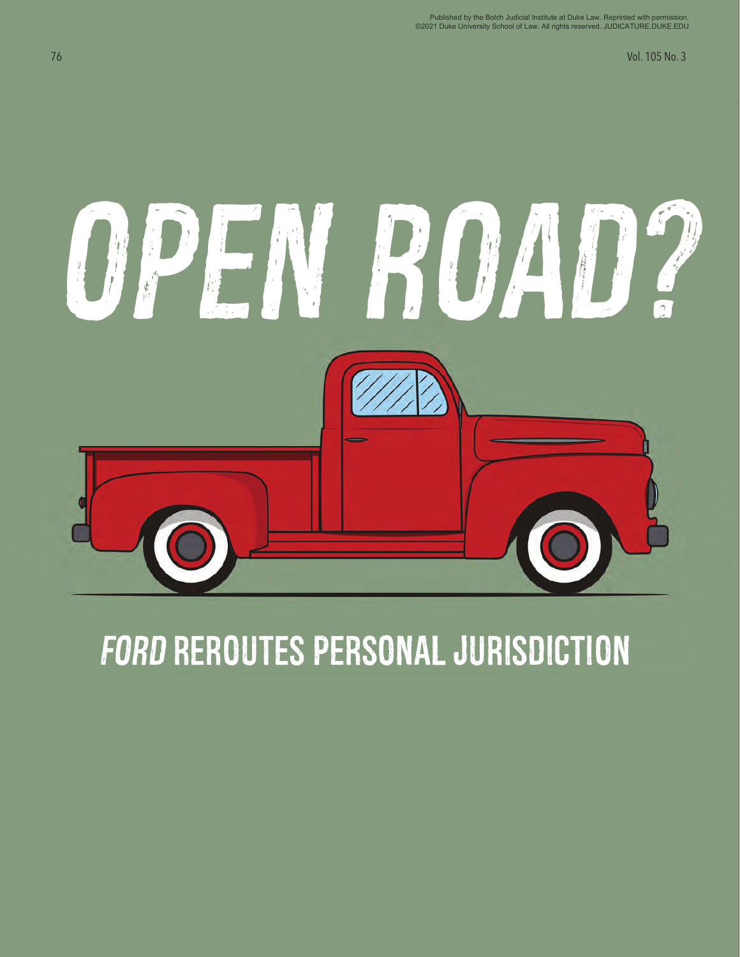76 Vol. 105 No. 3



## **FORD REROUTES PERSONAL JURISDICTION**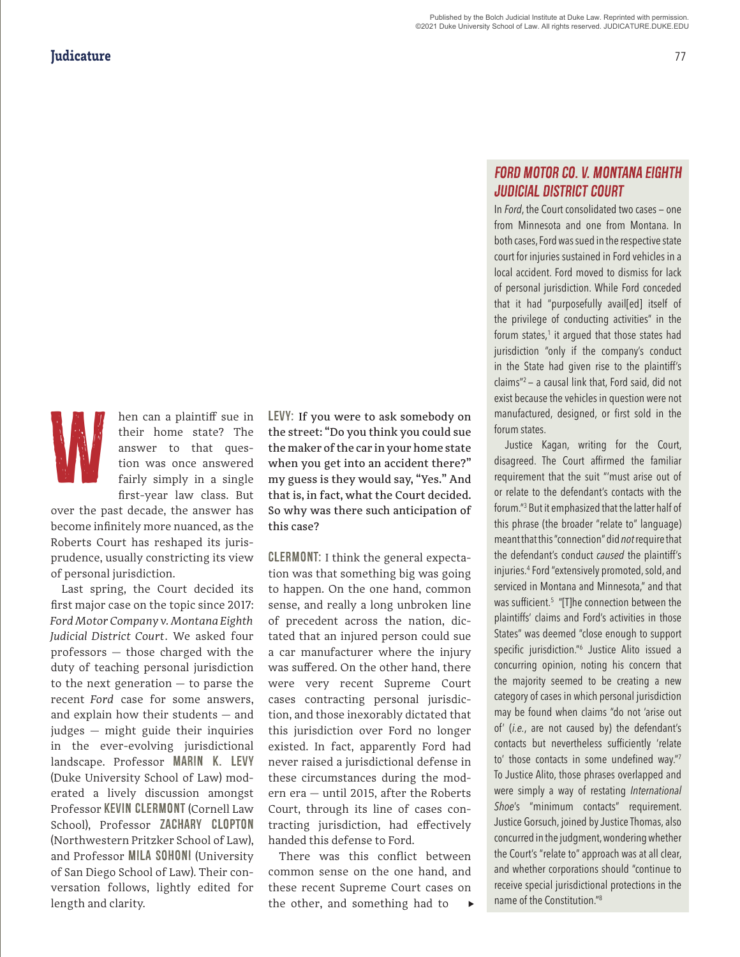W.

hen can a plaintiff sue in their home state? The answer to that question was once answered fairly simply in a single first-year law class. But

over the past decade, the answer has become infinitely more nuanced, as the Roberts Court has reshaped its jurisprudence, usually constricting its view of personal jurisdiction.

Last spring, the Court decided its first major case on the topic since 2017: *Ford Motor Company v. Montana Eighth Judicial District Court*. We asked four professors — those charged with the duty of teaching personal jurisdiction to the next generation — to parse the recent *Ford* case for some answers, and explain how their students — and judges — might guide their inquiries in the ever-evolving jurisdictional landscape. Professor MARIN K. LEVY (Duke University School of Law) moderated a lively discussion amongst Professor KEVIN CLERMONT (Cornell Law School), Professor ZACHARY CLOPTON (Northwestern Pritzker School of Law), and Professor MILA SOHONI (University of San Diego School of Law). Their conversation follows, lightly edited for length and clarity.

LEVY: If you were to ask somebody on the street: "Do you think you could sue the maker of the car in your home state when you get into an accident there?" my guess is they would say, "Yes." And that is, in fact, what the Court decided. So why was there such anticipation of this case?

CLERMONT: I think the general expectation was that something big was going to happen. On the one hand, common sense, and really a long unbroken line of precedent across the nation, dictated that an injured person could sue a car manufacturer where the injury was suffered. On the other hand, there were very recent Supreme Court cases contracting personal jurisdiction, and those inexorably dictated that this jurisdiction over Ford no longer existed. In fact, apparently Ford had never raised a jurisdictional defense in these circumstances during the modern era — until 2015, after the Roberts Court, through its line of cases contracting jurisdiction, had effectively handed this defense to Ford.

There was this conflict between common sense on the one hand, and these recent Supreme Court cases on the other, and something had to u

## *Ford Motor Co. v. Montana Eighth Judicial District Court*

In *Ford*, the Court consolidated two cases — one from Minnesota and one from Montana. In both cases, Ford was sued in the respective state court for injuries sustained in Ford vehicles in a local accident. Ford moved to dismiss for lack of personal jurisdiction. While Ford conceded that it had "purposefully avail[ed] itself of the privilege of conducting activities" in the forum states, $^1$  it argued that those states had jurisdiction "only if the company's conduct in the State had given rise to the plaintiff's claims"2 — a causal link that, Ford said, did not exist because the vehicles in question were not manufactured, designed, or first sold in the forum states.

Justice Kagan, writing for the Court, disagreed. The Court affirmed the familiar requirement that the suit "'must arise out of or relate to the defendant's contacts with the forum."3 But it emphasized that the latter half of this phrase (the broader "relate to" language) meant that this "connection" did *not* require that the defendant's conduct *caused* the plaintiff's injuries.4 Ford "extensively promoted, sold, and serviced in Montana and Minnesota," and that was sufficient.<sup>5</sup> "[T]he connection between the plaintiffs' claims and Ford's activities in those States" was deemed "close enough to support specific jurisdiction."<sup>6</sup> Justice Alito issued a concurring opinion, noting his concern that the majority seemed to be creating a new category of cases in which personal jurisdiction may be found when claims "do not 'arise out of' (*i.e.*, are not caused by) the defendant's contacts but nevertheless sufficiently 'relate to' those contacts in some undefined way."<sup>7</sup> To Justice Alito, those phrases overlapped and were simply a way of restating *International Shoe*'s "minimum contacts" requirement. Justice Gorsuch, joined by Justice Thomas, also concurred in the judgment, wondering whether the Court's "relate to" approach was at all clear, and whether corporations should "continue to receive special jurisdictional protections in the name of the Constitution."8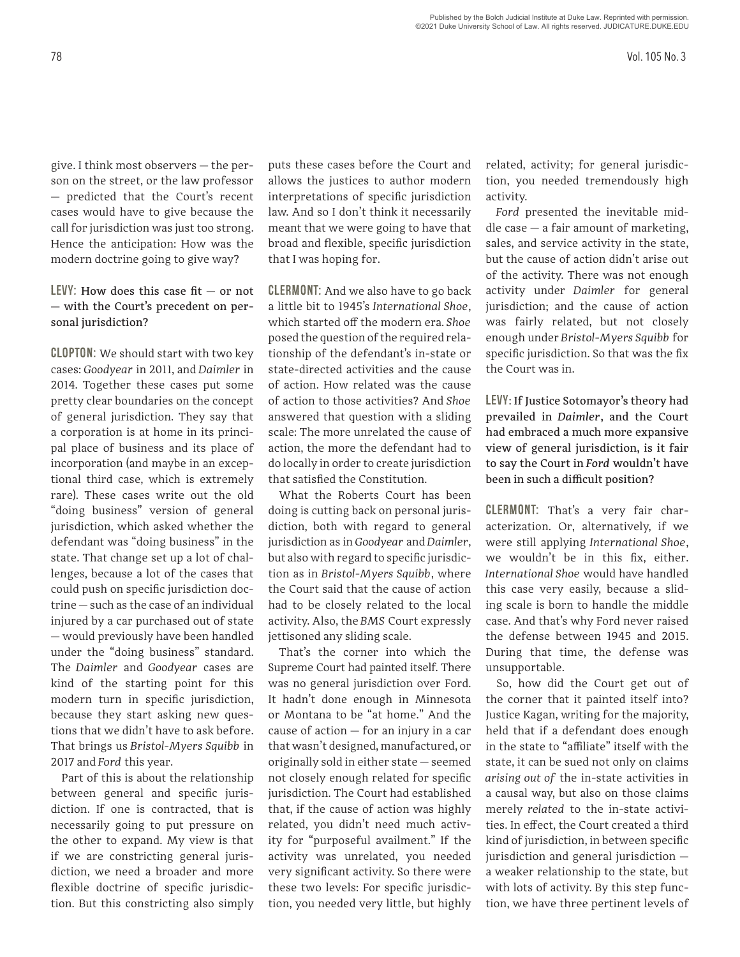give. I think most observers — the person on the street, or the law professor — predicted that the Court's recent cases would have to give because the call for jurisdiction was just too strong. Hence the anticipation: How was the modern doctrine going to give way?

## LEVY: How does this case  $fit - or not$ — with the Court's precedent on personal jurisdiction?

CLOPTON: We should start with two key cases: *Goodyear* in 2011, and *Daimler* in 2014. Together these cases put some pretty clear boundaries on the concept of general jurisdiction. They say that a corporation is at home in its principal place of business and its place of incorporation (and maybe in an exceptional third case, which is extremely rare). These cases write out the old "doing business" version of general jurisdiction, which asked whether the defendant was "doing business" in the state. That change set up a lot of challenges, because a lot of the cases that could push on specific jurisdiction doctrine — such as the case of an individual injured by a car purchased out of state — would previously have been handled under the "doing business" standard. The *Daimler* and *Goodyear* cases are kind of the starting point for this modern turn in specific jurisdiction, because they start asking new questions that we didn't have to ask before. That brings us *Bristol-Myers Squibb* in 2017 and *Ford* this year.

Part of this is about the relationship between general and specific jurisdiction. If one is contracted, that is necessarily going to put pressure on the other to expand. My view is that if we are constricting general jurisdiction, we need a broader and more flexible doctrine of specific jurisdiction. But this constricting also simply

puts these cases before the Court and allows the justices to author modern interpretations of specific jurisdiction law. And so I don't think it necessarily meant that we were going to have that broad and flexible, specific jurisdiction that I was hoping for.

CLERMONT: And we also have to go back a little bit to 1945's *International Shoe*, which started off the modern era. *Shoe* posed the question of the required relationship of the defendant's in-state or state-directed activities and the cause of action. How related was the cause of action to those activities? And *Shoe* answered that question with a sliding scale: The more unrelated the cause of action, the more the defendant had to do locally in order to create jurisdiction that satisfied the Constitution.

What the Roberts Court has been doing is cutting back on personal jurisdiction, both with regard to general jurisdiction as in *Goodyear* and *Daimler*, but also with regard to specific jurisdiction as in *Bristol-Myers Squibb*, where the Court said that the cause of action had to be closely related to the local activity. Also, the *BMS* Court expressly jettisoned any sliding scale.

That's the corner into which the Supreme Court had painted itself. There was no general jurisdiction over Ford. It hadn't done enough in Minnesota or Montana to be "at home." And the cause of action — for an injury in a car that wasn't designed, manufactured, or originally sold in either state — seemed not closely enough related for specific jurisdiction. The Court had established that, if the cause of action was highly related, you didn't need much activity for "purposeful availment." If the activity was unrelated, you needed very significant activity. So there were these two levels: For specific jurisdiction, you needed very little, but highly

related, activity; for general jurisdiction, you needed tremendously high activity.

*Ford* presented the inevitable mid $d$ le case  $-$  a fair amount of marketing, sales, and service activity in the state, but the cause of action didn't arise out of the activity. There was not enough activity under *Daimler* for general jurisdiction; and the cause of action was fairly related, but not closely enough under *Bristol-Myers Squibb* for specific jurisdiction. So that was the fix the Court was in.

LEVY: If Justice Sotomayor's theory had prevailed in *Daimler*, and the Court had embraced a much more expansive view of general jurisdiction, is it fair to say the Court in *Ford* wouldn't have been in such a difficult position?

CLERMONT: That's a very fair characterization. Or, alternatively, if we were still applying *International Shoe*, we wouldn't be in this fix, either. *International Shoe* would have handled this case very easily, because a sliding scale is born to handle the middle case. And that's why Ford never raised the defense between 1945 and 2015. During that time, the defense was unsupportable.

So, how did the Court get out of the corner that it painted itself into? Justice Kagan, writing for the majority, held that if a defendant does enough in the state to "affiliate" itself with the state, it can be sued not only on claims *arising out of* the in-state activities in a causal way, but also on those claims merely *related* to the in-state activities. In effect, the Court created a third kind of jurisdiction, in between specific jurisdiction and general jurisdiction a weaker relationship to the state, but with lots of activity. By this step function, we have three pertinent levels of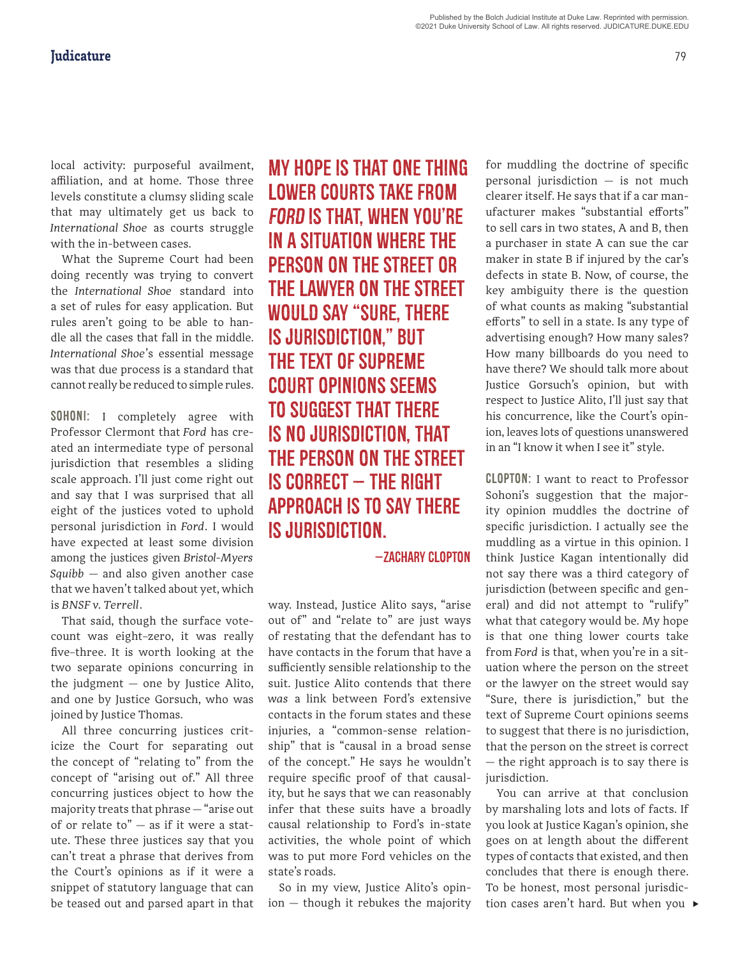local activity: purposeful availment, affiliation, and at home. Those three levels constitute a clumsy sliding scale that may ultimately get us back to *International Shoe* as courts struggle with the in-between cases.

What the Supreme Court had been doing recently was trying to convert the *International Shoe* standard into a set of rules for easy application. But rules aren't going to be able to handle all the cases that fall in the middle. *International Shoe'*s essential message was that due process is a standard that cannot really be reduced to simple rules.

SOHONI: I completely agree with Professor Clermont that *Ford* has created an intermediate type of personal jurisdiction that resembles a sliding scale approach. I'll just come right out and say that I was surprised that all eight of the justices voted to uphold personal jurisdiction in *Ford*. I would have expected at least some division among the justices given *Bristol-Myers Squibb* — and also given another case that we haven't talked about yet, which is *BNSF v. Terrell*.

That said, though the surface votecount was eight–zero, it was really five–three. It is worth looking at the two separate opinions concurring in the judgment — one by Justice Alito, and one by Justice Gorsuch, who was joined by Justice Thomas.

All three concurring justices criticize the Court for separating out the concept of "relating to" from the concept of "arising out of." All three concurring justices object to how the majority treats that phrase — "arise out of or relate to"  $-$  as if it were a statute. These three justices say that you can't treat a phrase that derives from the Court's opinions as if it were a snippet of statutory language that can be teased out and parsed apart in that

My hope is that one thing lower courts take from *Ford* is that, when you're in a situation where the person on the street or the lawyer on the street would say "Sure, there is jurisdiction," but the text of Supreme Court opinions seems to suggest that there is no jurisdiction, that the person on the street is correct — the right approach is to say there is jurisdiction.

—zachary Clopton

way. Instead, Justice Alito says, "arise out of" and "relate to" are just ways of restating that the defendant has to have contacts in the forum that have a sufficiently sensible relationship to the suit. Justice Alito contends that there *was* a link between Ford's extensive contacts in the forum states and these injuries, a "common-sense relationship" that is "causal in a broad sense of the concept." He says he wouldn't require specific proof of that causality, but he says that we can reasonably infer that these suits have a broadly causal relationship to Ford's in-state activities, the whole point of which was to put more Ford vehicles on the state's roads.

So in my view, Justice Alito's opinion — though it rebukes the majority

for muddling the doctrine of specific personal jurisdiction — is not much clearer itself. He says that if a car manufacturer makes "substantial efforts" to sell cars in two states, A and B, then a purchaser in state A can sue the car maker in state B if injured by the car's defects in state B. Now, of course, the key ambiguity there is the question of what counts as making "substantial efforts" to sell in a state. Is any type of advertising enough? How many sales? How many billboards do you need to have there? We should talk more about Justice Gorsuch's opinion, but with respect to Justice Alito, I'll just say that his concurrence, like the Court's opinion, leaves lots of questions unanswered in an "I know it when I see it" style.

CLOPTON: I want to react to Professor Sohoni's suggestion that the majority opinion muddles the doctrine of specific jurisdiction. I actually see the muddling as a virtue in this opinion. I think Justice Kagan intentionally did not say there was a third category of jurisdiction (between specific and general) and did not attempt to "rulify" what that category would be. My hope is that one thing lower courts take from *Ford* is that, when you're in a situation where the person on the street or the lawyer on the street would say "Sure, there is jurisdiction," but the text of Supreme Court opinions seems to suggest that there is no jurisdiction, that the person on the street is correct — the right approach is to say there is jurisdiction.

tion cases aren't hard. But when you ▶ You can arrive at that conclusion by marshaling lots and lots of facts. If you look at Justice Kagan's opinion, she goes on at length about the different types of contacts that existed, and then concludes that there is enough there. To be honest, most personal jurisdic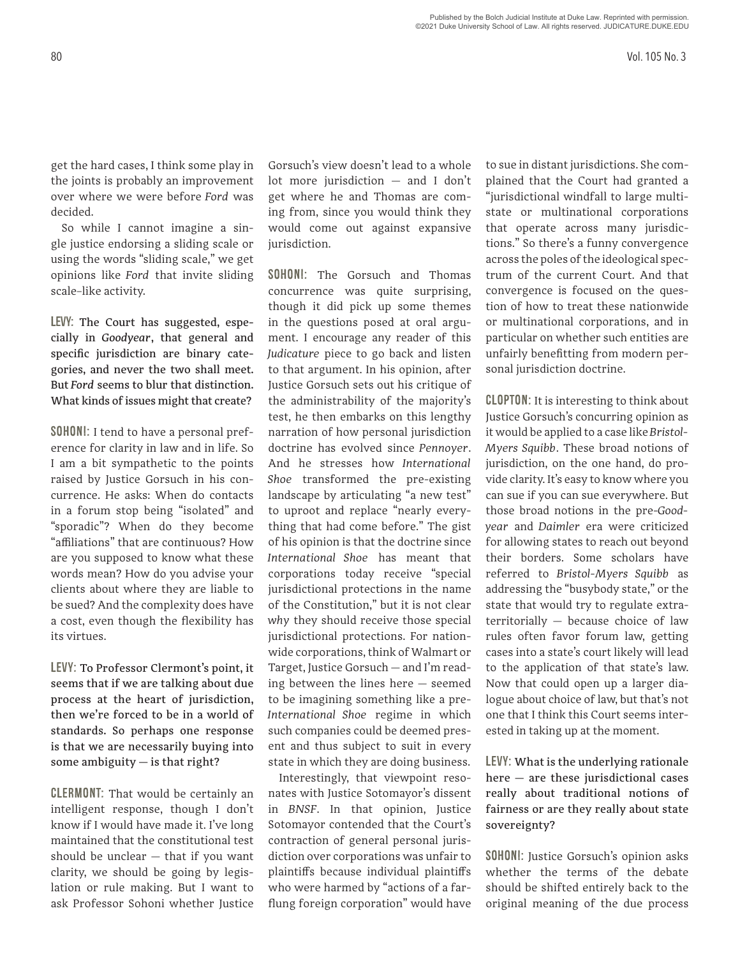get the hard cases, I think some play in the joints is probably an improvement over where we were before *Ford* was decided.

So while I cannot imagine a single justice endorsing a sliding scale or using the words "sliding scale," we get opinions like *Ford* that invite sliding scale–like activity.

LEVY: The Court has suggested, especially in *Goodyear*, that general and specific jurisdiction are binary categories, and never the two shall meet. But *Ford* seems to blur that distinction. What kinds of issues might that create?

SOHONI: I tend to have a personal preference for clarity in law and in life. So I am a bit sympathetic to the points raised by Justice Gorsuch in his concurrence. He asks: When do contacts in a forum stop being "isolated" and "sporadic"? When do they become "affiliations" that are continuous? How are you supposed to know what these words mean? How do you advise your clients about where they are liable to be sued? And the complexity does have a cost, even though the flexibility has its virtues.

LEVY: To Professor Clermont's point, it seems that if we are talking about due process at the heart of jurisdiction, then we're forced to be in a world of standards. So perhaps one response is that we are necessarily buying into some ambiguity — is that right?

CLERMONT: That would be certainly an intelligent response, though I don't know if I would have made it. I've long maintained that the constitutional test should be unclear — that if you want clarity, we should be going by legislation or rule making. But I want to ask Professor Sohoni whether Justice

Gorsuch's view doesn't lead to a whole lot more jurisdiction — and I don't get where he and Thomas are coming from, since you would think they would come out against expansive jurisdiction.

SOHONI: The Gorsuch and Thomas concurrence was quite surprising, though it did pick up some themes in the questions posed at oral argument. I encourage any reader of this *Judicature* piece to go back and listen to that argument. In his opinion, after Justice Gorsuch sets out his critique of the administrability of the majority's test, he then embarks on this lengthy narration of how personal jurisdiction doctrine has evolved since *Pennoyer*. And he stresses how *International Shoe* transformed the pre-existing landscape by articulating "a new test" to uproot and replace "nearly everything that had come before." The gist of his opinion is that the doctrine since *International Shoe* has meant that corporations today receive "special jurisdictional protections in the name of the Constitution," but it is not clear *why* they should receive those special jurisdictional protections. For nationwide corporations, think of Walmart or Target, Justice Gorsuch — and I'm reading between the lines here — seemed to be imagining something like a pre-*International Shoe* regime in which such companies could be deemed present and thus subject to suit in every state in which they are doing business.

Interestingly, that viewpoint resonates with Justice Sotomayor's dissent in *BNSF*. In that opinion, Justice Sotomayor contended that the Court's contraction of general personal jurisdiction over corporations was unfair to plaintiffs because individual plaintiffs who were harmed by "actions of a farflung foreign corporation" would have

to sue in distant jurisdictions. She complained that the Court had granted a "jurisdictional windfall to large multistate or multinational corporations that operate across many jurisdictions." So there's a funny convergence across the poles of the ideological spectrum of the current Court. And that convergence is focused on the question of how to treat these nationwide or multinational corporations, and in particular on whether such entities are unfairly benefitting from modern personal jurisdiction doctrine.

CLOPTON: It is interesting to think about Justice Gorsuch's concurring opinion as it would be applied to a case like *Bristol-Myers Squibb*. These broad notions of jurisdiction, on the one hand, do provide clarity. It's easy to know where you can sue if you can sue everywhere. But those broad notions in the pre-*Goodyear* and *Daimler* era were criticized for allowing states to reach out beyond their borders. Some scholars have referred to *Bristol-Myers Squibb* as addressing the "busybody state," or the state that would try to regulate extraterritorially — because choice of law rules often favor forum law, getting cases into a state's court likely will lead to the application of that state's law. Now that could open up a larger dialogue about choice of law, but that's not one that I think this Court seems interested in taking up at the moment.

LEVY: What is the underlying rationale here — are these jurisdictional cases really about traditional notions of fairness or are they really about state sovereignty?

SOHONI: Justice Gorsuch's opinion asks whether the terms of the debate should be shifted entirely back to the original meaning of the due process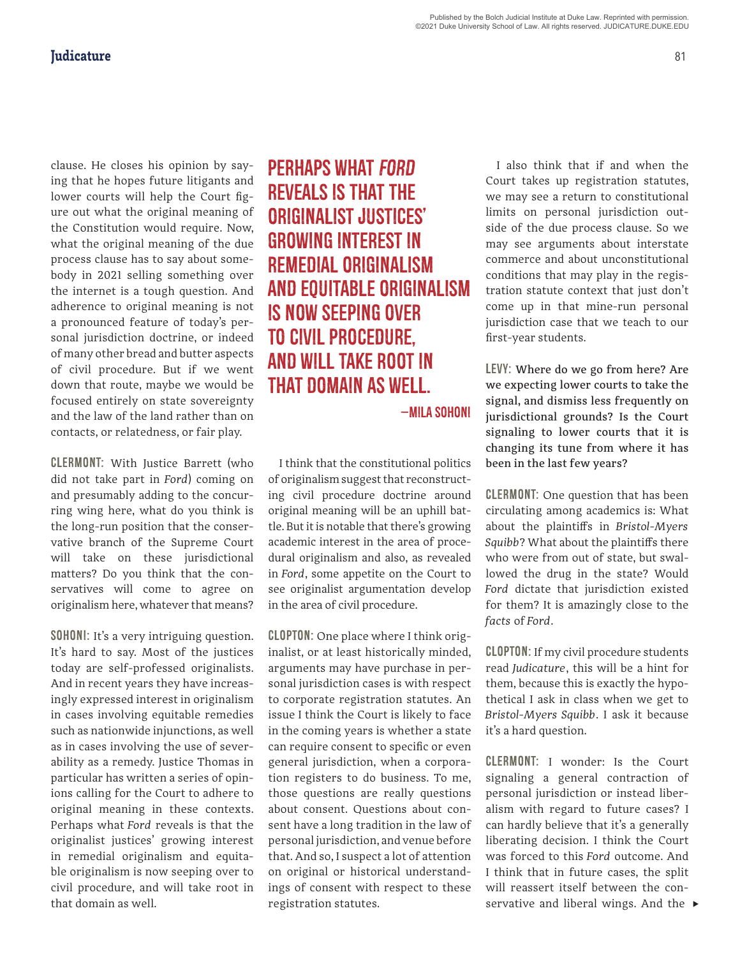clause. He closes his opinion by saying that he hopes future litigants and lower courts will help the Court figure out what the original meaning of the Constitution would require. Now, what the original meaning of the due process clause has to say about somebody in 2021 selling something over the internet is a tough question. And adherence to original meaning is not a pronounced feature of today's personal jurisdiction doctrine, or indeed of many other bread and butter aspects of civil procedure. But if we went down that route, maybe we would be focused entirely on state sovereignty and the law of the land rather than on contacts, or relatedness, or fair play.

CLERMONT: With Justice Barrett (who did not take part in *Ford*) coming on and presumably adding to the concurring wing here, what do you think is the long-run position that the conservative branch of the Supreme Court will take on these jurisdictional matters? Do you think that the conservatives will come to agree on originalism here, whatever that means?

SOHONI: It's a very intriguing question. It's hard to say. Most of the justices today are self-professed originalists. And in recent years they have increasingly expressed interest in originalism in cases involving equitable remedies such as nationwide injunctions, as well as in cases involving the use of severability as a remedy. Justice Thomas in particular has written a series of opinions calling for the Court to adhere to original meaning in these contexts. Perhaps what *Ford* reveals is that the originalist justices' growing interest in remedial originalism and equitable originalism is now seeping over to civil procedure, and will take root in that domain as well.

Perhaps what *Ford* reveals is that the originalist justices' growing interest in remedial originalism and equitable originalism is now seeping over to civil procedure, and will take root in that domain as well.

—mila sohoni

I think that the constitutional politics of originalism suggest that reconstructing civil procedure doctrine around original meaning will be an uphill battle. But it is notable that there's growing academic interest in the area of procedural originalism and also, as revealed in *Ford*, some appetite on the Court to see originalist argumentation develop in the area of civil procedure.

CLOPTON: One place where I think originalist, or at least historically minded, arguments may have purchase in personal jurisdiction cases is with respect to corporate registration statutes. An issue I think the Court is likely to face in the coming years is whether a state can require consent to specific or even general jurisdiction, when a corporation registers to do business. To me, those questions are really questions about consent. Questions about consent have a long tradition in the law of personal jurisdiction, and venue before that. And so, I suspect a lot of attention on original or historical understandings of consent with respect to these registration statutes.

I also think that if and when the Court takes up registration statutes, we may see a return to constitutional limits on personal jurisdiction outside of the due process clause. So we may see arguments about interstate commerce and about unconstitutional conditions that may play in the registration statute context that just don't come up in that mine-run personal jurisdiction case that we teach to our first-year students.

LEVY: Where do we go from here? Are we expecting lower courts to take the signal, and dismiss less frequently on jurisdictional grounds? Is the Court signaling to lower courts that it is changing its tune from where it has been in the last few years?

CLERMONT: One question that has been circulating among academics is: What about the plaintiffs in *Bristol-Myers Squibb*? What about the plaintiffs there who were from out of state, but swallowed the drug in the state? Would *Ford* dictate that jurisdiction existed for them? It is amazingly close to the *facts* of *Ford*.

CLOPTON: If my civil procedure students read *Judicature*, this will be a hint for them, because this is exactly the hypothetical I ask in class when we get to *Bristol-Myers Squibb*. I ask it because it's a hard question.

servative and liberal wings. And the  $\blacktriangleright$ CLERMONT: I wonder: Is the Court signaling a general contraction of personal jurisdiction or instead liberalism with regard to future cases? I can hardly believe that it's a generally liberating decision. I think the Court was forced to this *Ford* outcome. And I think that in future cases, the split will reassert itself between the con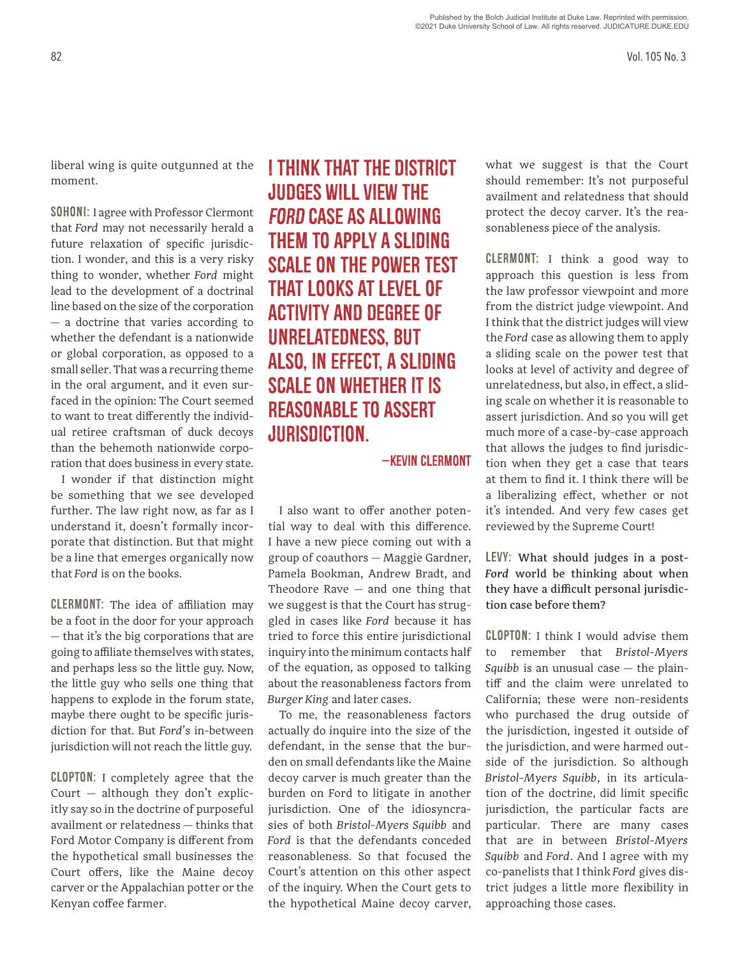liberal wing is quite outgunned at the moment.

SOHONI: I agree with Professor Clermont that *Ford* may not necessarily herald a future relaxation of specific jurisdiction. I wonder, and this is a very risky thing to wonder, whether *Ford* might lead to the development of a doctrinal line based on the size of the corporation — a doctrine that varies according to whether the defendant is a nationwide or global corporation, as opposed to a small seller. That was a recurring theme in the oral argument, and it even surfaced in the opinion: The Court seemed to want to treat differently the individual retiree craftsman of duck decoys than the behemoth nationwide corporation that does business in every state.

I wonder if that distinction might be something that we see developed further. The law right now, as far as I understand it, doesn't formally incorporate that distinction. But that might be a line that emerges organically now that *Ford* is on the books.

CLERMONT: The idea of affiliation may be a foot in the door for your approach — that it's the big corporations that are going to affiliate themselves with states, and perhaps less so the little guy. Now, the little guy who sells one thing that happens to explode in the forum state, maybe there ought to be specific jurisdiction for that. But *Ford'*s in-between jurisdiction will not reach the little guy.

CLOPTON: I completely agree that the Court  $-$  although they don't explicitly say so in the doctrine of purposeful availment or relatedness — thinks that Ford Motor Company is different from the hypothetical small businesses the Court offers, like the Maine decoy carver or the Appalachian potter or the Kenyan coffee farmer.

I think that the district judges will view the *Ford* case as allowing them to apply a sliding scale on the power test that looks at level of activity and degree of unrelatedness, but also, in effect, a sliding scale on whether it is reasonable to assert jurisdiction.

—kevin clermont

I also want to offer another potential way to deal with this difference. I have a new piece coming out with a group of coauthors — Maggie Gardner, Pamela Bookman, Andrew Bradt, and Theodore Rave  $-$  and one thing that we suggest is that the Court has struggled in cases like *Ford* because it has tried to force this entire jurisdictional inquiry into the minimum contacts half of the equation, as opposed to talking about the reasonableness factors from *Burger King* and later cases.

To me, the reasonableness factors actually do inquire into the size of the defendant, in the sense that the burden on small defendants like the Maine decoy carver is much greater than the burden on Ford to litigate in another jurisdiction. One of the idiosyncrasies of both *Bristol-Myers Squibb* and *Ford* is that the defendants conceded reasonableness. So that focused the Court's attention on this other aspect of the inquiry. When the Court gets to the hypothetical Maine decoy carver,

what we suggest is that the Court should remember: It's not purposeful availment and relatedness that should protect the decoy carver. It's the reasonableness piece of the analysis.

CLERMONT: I think a good way to approach this question is less from the law professor viewpoint and more from the district judge viewpoint. And I think that the district judges will view the *Ford* case as allowing them to apply a sliding scale on the power test that looks at level of activity and degree of unrelatedness, but also, in effect, a sliding scale on whether it is reasonable to assert jurisdiction. And so you will get much more of a case-by-case approach that allows the judges to find jurisdiction when they get a case that tears at them to find it. I think there will be a liberalizing effect, whether or not it's intended. And very few cases get reviewed by the Supreme Court!

LEVY: What should judges in a post-*Ford* world be thinking about when they have a difficult personal jurisdiction case before them?

CLOPTON: I think I would advise them to remember that *Bristol-Myers Squibb* is an unusual case — the plaintiff and the claim were unrelated to California; these were non-residents who purchased the drug outside of the jurisdiction, ingested it outside of the jurisdiction, and were harmed outside of the jurisdiction. So although *Bristol-Myers Squibb*, in its articulation of the doctrine, did limit specific jurisdiction, the particular facts are particular. There are many cases that are in between *Bristol-Myers Squibb* and *Ford*. And I agree with my co-panelists that I think *Ford* gives district judges a little more flexibility in approaching those cases.